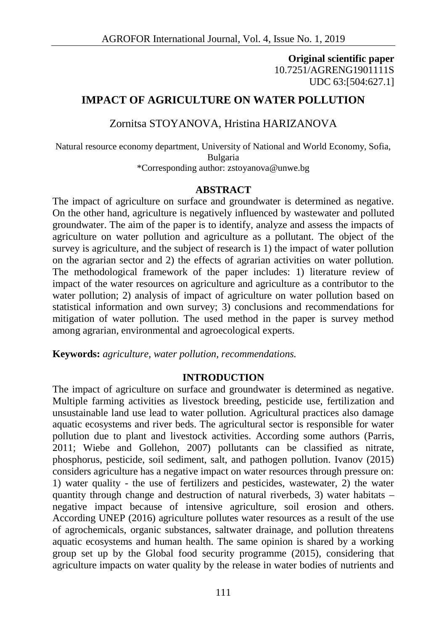**Original scientific paper** 10.7251/AGRENG1901111S UDC 63:[504:627.1]

# **IMPACT OF AGRICULTURE ON WATER POLLUTION**

## Zornitsa STOYANOVA, Hristina HARIZANOVA

Natural resource economy department, University of National and World Economy, Sofia, Bulgaria \*Corresponding author: zstoyanova@unwe.bg

#### **ABSTRACT**

The impact of agriculture on surface and groundwater is determined as negative. On the other hand, agriculture is negatively influenced by wastewater and polluted groundwater. The aim of the paper is to identify, analyze and assess the impacts of agriculture on water pollution and agriculture as a pollutant. The object of the survey is agriculture, and the subject of research is 1) the impact of water pollution on the agrarian sector and 2) the effects of agrarian activities on water pollution. The methodological framework of the paper includes: 1) literature review of impact of the water resources on agriculture and agriculture as a contributor to the water pollution; 2) analysis of impact of agriculture on water pollution based on statistical information and own survey; 3) conclusions and recommendations for mitigation of water pollution. The used method in the paper is survey method among agrarian, environmental and agroecological experts.

**Keywords:** *agriculture, water pollution, recommendations.*

#### **INTRODUCTION**

The impact of agriculture on surface and groundwater is determined as negative. Multiple farming activities as livestock breeding, pesticide use, fertilization and unsustainable land use lead to water pollution. Agricultural practices also damage aquatic ecosystems and river beds. The agricultural sector is responsible for water pollution due to plant and livestock activities. According some authors (Parris, 2011; Wiebe and Gollehon, 2007) pollutants can be classified as nitrate, phosphorus, pesticide, soil sediment, salt, and pathogen pollution. Ivanov (2015) considers agriculture has a negative impact on water resources through pressure on: 1) water quality - the use of fertilizers and pesticides, wastewater, 2) the water quantity through change and destruction of natural riverbeds, 3) water habitats – negative impact because of intensive agriculture, soil erosion and others. According UNEP (2016) agriculture pollutes water resources as a result of the use of agrochemicals, organic substances, saltwater drainage, and pollution threatens aquatic ecosystems and human health. The same opinion is shared by a working group set up by the Global food security programme (2015), considering that agriculture impacts on water quality by the release in water bodies of nutrients and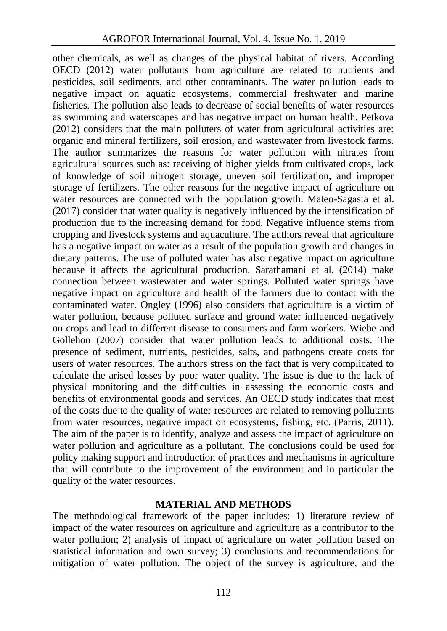other chemicals, as well as changes of the physical habitat of rivers. According OECD (2012) water pollutants from agriculture are related to nutrients and pesticides, soil sediments, and other contaminants. The water pollution leads to negative impact on aquatic ecosystems, commercial freshwater and marine fisheries. The pollution also leads to decrease of social benefits of water resources as swimming and waterscapes and has negative impact on human health. Petkova (2012) considers that the main polluters of water from agricultural activities are: organic and mineral fertilizers, soil erosion, and wastewater from livestock farms. The author summarizes the reasons for water pollution with nitrates from agricultural sources such as: receiving of higher yields from cultivated crops, lack of knowledge of soil nitrogen storage, uneven soil fertilization, and improper storage of fertilizers. The other reasons for the negative impact of agriculture on water resources are connected with the population growth. Mateo-Sagasta et al. (2017) consider that water quality is negatively influenced by the intensification of production due to the increasing demand for food. Negative influence stems from cropping and livestock systems and aquaculture. The authors reveal that agriculture has a negative impact on water as a result of the population growth and changes in dietary patterns. The use of polluted water has also negative impact on agriculture because it affects the agricultural production. Sarathamani et al. (2014) make connection between wastewater and water springs. Polluted water springs have negative impact on agriculture and health of the farmers due to contact with the contaminated water. Ongley (1996) also considers that agriculture is a victim of water pollution, because polluted surface and ground water influenced negatively on crops and lead to different disease to consumers and farm workers. Wiebe and Gollehon (2007) consider that water pollution leads to additional costs. The presence of sediment, nutrients, pesticides, salts, and pathogens create costs for users of water resources. The authors stress on the fact that is very complicated to calculate the arised losses by poor water quality. The issue is due to the lack of physical monitoring and the difficulties in assessing the economic costs and benefits of environmental goods and services. An OECD study indicates that most of the costs due to the quality of water resources are related to removing pollutants from water resources, negative impact on ecosystems, fishing, etc. (Parris, 2011). The aim of the paper is to identify, analyze and assess the impact of agriculture on water pollution and agriculture as a pollutant. The conclusions could be used for policy making support and introduction of practices and mechanisms in agriculture that will contribute to the improvement of the environment and in particular the quality of the water resources.

#### **MATERIAL AND METHODS**

The methodological framework of the paper includes: 1) literature review of impact of the water resources on agriculture and agriculture as a contributor to the water pollution; 2) analysis of impact of agriculture on water pollution based on statistical information and own survey; 3) conclusions and recommendations for mitigation of water pollution. The object of the survey is agriculture, and the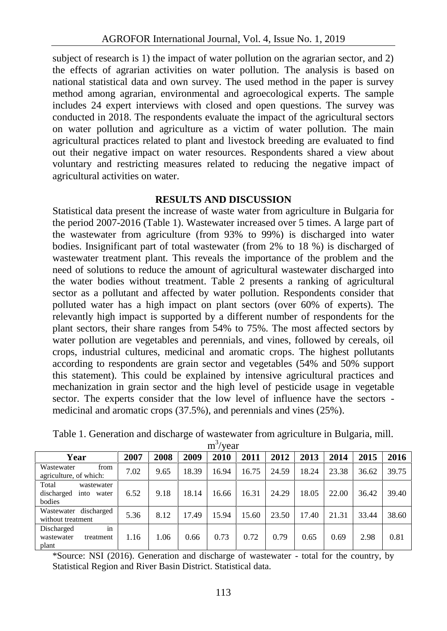subject of research is 1) the impact of water pollution on the agrarian sector, and 2) the effects of agrarian activities on water pollution. The analysis is based on national statistical data and own survey. The used method in the paper is survey method among agrarian, environmental and agroecological experts. The sample includes 24 expert interviews with closed and open questions. The survey was conducted in 2018. The respondents evaluate the impact of the agricultural sectors on water pollution and agriculture as a victim of water pollution. The main agricultural practices related to plant and livestock breeding are evaluated to find out their negative impact on water resources. Respondents shared a view about voluntary and restricting measures related to reducing the negative impact of agricultural activities on water.

## **RESULTS AND DISCUSSION**

Statistical data present the increase of waste water from agriculture in Bulgaria for the period 2007-2016 (Table 1). Wastewater increased over 5 times. A large part of the wastewater from agriculture (from 93% to 99%) is discharged into water bodies. Insignificant part of total wastewater (from 2% to 18 %) is discharged of wastewater treatment plant. This reveals the importance of the problem and the need of solutions to reduce the amount of agricultural wastewater discharged into the water bodies without treatment. Table 2 presents a ranking of agricultural sector as a pollutant and affected by water pollution. Respondents consider that polluted water has a high impact on plant sectors (over 60% of experts). The relevantly high impact is supported by a different number of respondents for the plant sectors, their share ranges from 54% to 75%. The most affected sectors by water pollution are vegetables and perennials, and vines, followed by cereals, oil crops, industrial cultures, medicinal and aromatic crops. The highest pollutants according to respondents are grain sector and vegetables (54% and 50% support this statement). This could be explained by intensive agricultural practices and mechanization in grain sector and the high level of pesticide usage in vegetable sector. The experts consider that the low level of influence have the sectors medicinal and aromatic crops (37.5%), and perennials and vines (25%).

| Year                                                      | 2007 | 2008 | 2009  | 2010  | 2011  | 2012  | 2013  | 2014  | 2015  | 2016  |
|-----------------------------------------------------------|------|------|-------|-------|-------|-------|-------|-------|-------|-------|
| from<br>Wastewater<br>agriculture, of which:              | 7.02 | 9.65 | 18.39 | 16.94 | 16.75 | 24.59 | 18.24 | 23.38 | 36.62 | 39.75 |
| Total<br>wastewater<br>discharged<br>into water<br>bodies | 6.52 | 9.18 | 18.14 | 16.66 | 16.31 | 24.29 | 18.05 | 22.00 | 36.42 | 39.40 |
| Wastewater discharged<br>without treatment                | 5.36 | 8.12 | 17.49 | 15.94 | 15.60 | 23.50 | 17.40 | 21.31 | 33.44 | 38.60 |
| in<br>Discharged<br>wastewater<br>treatment<br>plant      | 1.16 | 1.06 | 0.66  | 0.73  | 0.72  | 0.79  | 0.65  | 0.69  | 2.98  | 0.81  |

Table 1. Generation and discharge of wastewater from agriculture in Bulgaria, mill.

m 3 /year

\*Source: NSI (2016). Generation and discharge of wastewater - total for the country, by Statistical Region and River Basin District. Statistical data.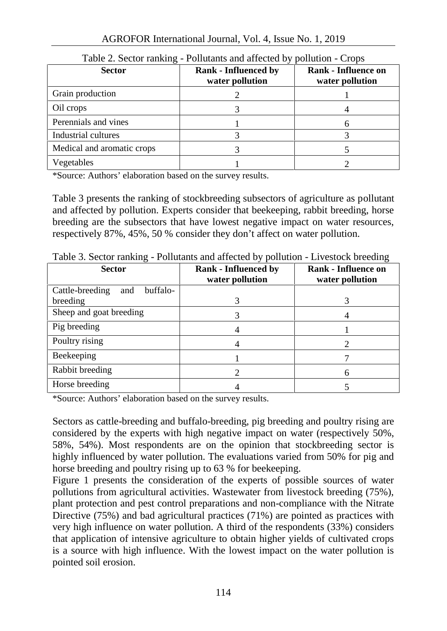| $10010 = 1000001$ $10000000$<br><b>Sector</b> | 1 University and anceled by<br><b>Rank - Influenced by</b> | $\mu$<br><b>Rank - Influence on</b> |  |  |
|-----------------------------------------------|------------------------------------------------------------|-------------------------------------|--|--|
|                                               | water pollution                                            | water pollution                     |  |  |
| Grain production                              |                                                            |                                     |  |  |
| Oil crops                                     |                                                            |                                     |  |  |
| Perennials and vines                          |                                                            |                                     |  |  |
| Industrial cultures                           |                                                            |                                     |  |  |
| Medical and aromatic crops                    |                                                            |                                     |  |  |
| Vegetables                                    |                                                            |                                     |  |  |

Table 2. Sector ranking - Pollutants and affected by pollution - Crops

\*Source: Authors' elaboration based on the survey results.

Table 3 presents the ranking of stockbreeding subsectors of agriculture as pollutant and affected by pollution. Experts consider that beekeeping, rabbit breeding, horse breeding are the subsectors that have lowest negative impact on water resources, respectively 87%, 45%, 50 % consider they don't affect on water pollution.

| $10000$ s. Sector Talining $\sim$ 1 originality and arrected by pottation $\sim$ 11 restock breeding |                                                |                                        |  |  |  |  |
|------------------------------------------------------------------------------------------------------|------------------------------------------------|----------------------------------------|--|--|--|--|
| <b>Sector</b>                                                                                        | <b>Rank - Influenced by</b><br>water pollution | Rank - Influence on<br>water pollution |  |  |  |  |
| buffalo-<br>Cattle-breeding<br>and                                                                   |                                                |                                        |  |  |  |  |
| breeding                                                                                             |                                                |                                        |  |  |  |  |
| Sheep and goat breeding                                                                              |                                                |                                        |  |  |  |  |
| Pig breeding                                                                                         |                                                |                                        |  |  |  |  |
| Poultry rising                                                                                       |                                                |                                        |  |  |  |  |
| Beekeeping                                                                                           |                                                |                                        |  |  |  |  |
| Rabbit breeding                                                                                      |                                                | 6                                      |  |  |  |  |
| Horse breeding                                                                                       |                                                |                                        |  |  |  |  |

Table 3. Sector ranking - Pollutants and affected by pollution - Livestock breeding

\*Source: Authors' elaboration based on the survey results.

Sectors as cattle-breeding and buffalo-breeding, pig breeding and poultry rising are considered by the experts with high negative impact on water (respectively 50%, 58%, 54%). Most respondents are on the opinion that stockbreeding sector is highly influenced by water pollution. The evaluations varied from 50% for pig and horse breeding and poultry rising up to 63 % for beekeeping.

Figure 1 presents the consideration of the experts of possible sources of water pollutions from agricultural activities. Wastewater from livestock breeding (75%), plant protection and pest control preparations and non-compliance with the Nitrate Directive (75%) and bad agricultural practices (71%) are pointed as practices with very high influence on water pollution. A third of the respondents (33%) considers that application of intensive agriculture to obtain higher yields of cultivated crops is a source with high influence. With the lowest impact on the water pollution is pointed soil erosion.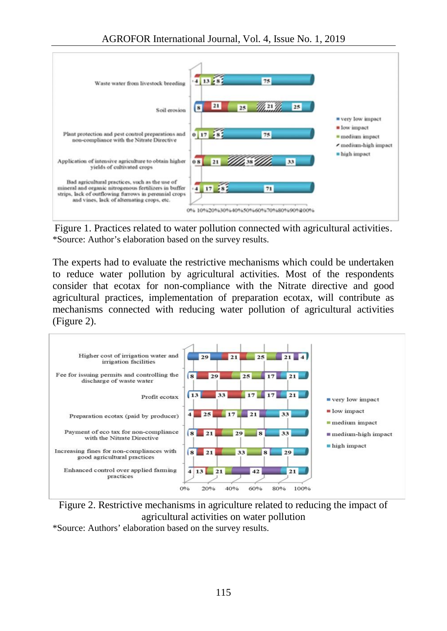

Figure 1. Practices related to water pollution connected with agricultural activities. \*Source: Author's elaboration based on the survey results.

The experts had to evaluate the restrictive mechanisms which could be undertaken to reduce water pollution by agricultural activities. Most of the respondents consider that ecotax for non-compliance with the Nitrate directive and good agricultural practices, implementation of preparation ecotax, will contribute as mechanisms connected with reducing water pollution of agricultural activities (Figure 2).



Figure 2. Restrictive mechanisms in agriculture related to reducing the impact of agricultural activities on water pollution

\*Source: Authors' elaboration based on the survey results.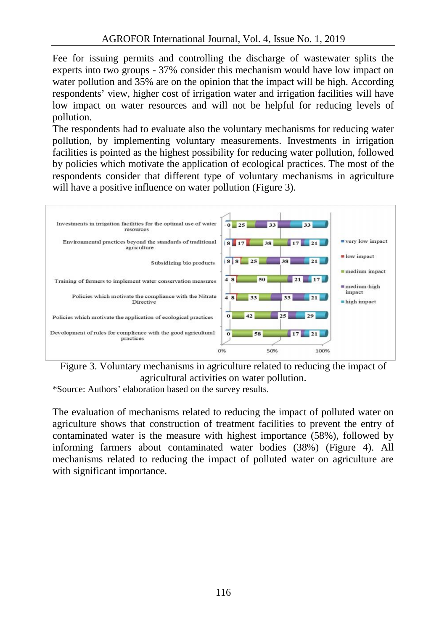Fee for issuing permits and controlling the discharge of wastewater splits the experts into two groups - 37% consider this mechanism would have low impact on water pollution and 35% are on the opinion that the impact will be high. According respondents' view, higher cost of irrigation water and irrigation facilities will have low impact on water resources and will not be helpful for reducing levels of pollution.

The respondents had to evaluate also the voluntary mechanisms for reducing water pollution, by implementing voluntary measurements. Investments in irrigation facilities is pointed as the highest possibility for reducing water pollution, followed by policies which motivate the application of ecological practices. The most of the respondents consider that different type of voluntary mechanisms in agriculture will have a positive influence on water pollution (Figure 3).



Figure 3. Voluntary mechanisms in agriculture related to reducing the impact of agricultural activities on water pollution.

\*Source: Authors' elaboration based on the survey results.

The evaluation of mechanisms related to reducing the impact of polluted water on agriculture shows that construction of treatment facilities to prevent the entry of contaminated water is the measure with highest importance (58%), followed by informing farmers about contaminated water bodies (38%) (Figure 4). All mechanisms related to reducing the impact of polluted water on agriculture are with significant importance.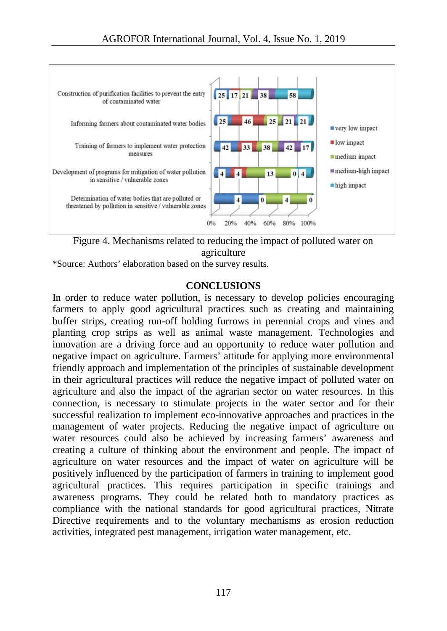

Figure 4. Mechanisms related to reducing the impact of polluted water on agriculture

\*Source: Authors' elaboration based on the survey results.

## **CONCLUSIONS**

In order to reduce water pollution, is necessary to develop policies encouraging farmers to apply good agricultural practices such as creating and maintaining buffer strips, creating run-off holding furrows in perennial crops and vines and planting crop strips as well as animal waste management. Technologies and innovation are a driving force and an opportunity to reduce water pollution and negative impact on agriculture. Farmers' attitude for applying more environmental friendly approach and implementation of the principles of sustainable development in their agricultural practices will reduce the negative impact of polluted water on agriculture and also the impact of the agrarian sector on water resources. In this connection, is necessary to stimulate projects in the water sector and for their successful realization to implement eco-innovative approaches and practices in the management of water projects. Reducing the negative impact of agriculture on water resources could also be achieved by increasing farmers' awareness and creating a culture of thinking about the environment and people. The impact of agriculture on water resources and the impact of water on agriculture will be positively influenced by the participation of farmers in training to implement good agricultural practices. This requires participation in specific trainings and awareness programs. They could be related both to mandatory practices as compliance with the national standards for good agricultural practices, Nitrate Directive requirements and to the voluntary mechanisms as erosion reduction activities, integrated pest management, irrigation water management, etc.